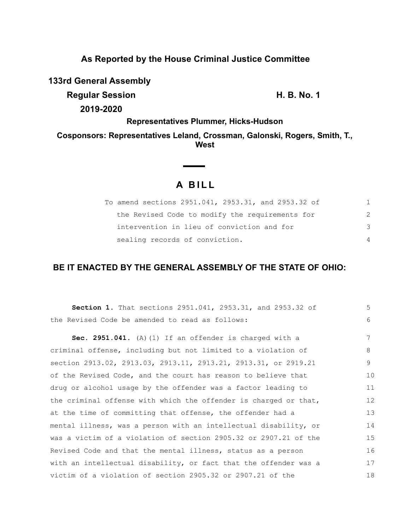# **As Reported by the House Criminal Justice Committee**

**133rd General Assembly**

**Regular Session H. B. No. 1 2019-2020 Representatives Plummer, Hicks-Hudson Cosponsors: Representatives Leland, Crossman, Galonski, Rogers, Smith, T., West**

# **A BILL**

**Contract Contract** 

| To amend sections 2951.041, 2953.31, and 2953.32 of |               |
|-----------------------------------------------------|---------------|
| the Revised Code to modify the requirements for     | $\mathcal{P}$ |
| intervention in lieu of conviction and for          | -२            |
| sealing records of conviction.                      |               |

# **BE IT ENACTED BY THE GENERAL ASSEMBLY OF THE STATE OF OHIO:**

| <b>Section 1.</b> That sections 2951.041, 2953.31, and 2953.32 of | 5  |
|-------------------------------------------------------------------|----|
| the Revised Code be amended to read as follows:                   | 6  |
| Sec. 2951.041. (A) (1) If an offender is charged with a           | 7  |
| criminal offense, including but not limited to a violation of     | 8  |
| section 2913.02, 2913.03, 2913.11, 2913.21, 2913.31, or 2919.21   | 9  |
| of the Revised Code, and the court has reason to believe that     | 10 |
| drug or alcohol usage by the offender was a factor leading to     | 11 |
| the criminal offense with which the offender is charged or that,  | 12 |
| at the time of committing that offense, the offender had a        | 13 |
| mental illness, was a person with an intellectual disability, or  | 14 |
| was a victim of a violation of section 2905.32 or 2907.21 of the  | 15 |
| Revised Code and that the mental illness, status as a person      | 16 |
| with an intellectual disability, or fact that the offender was a  | 17 |
| victim of a violation of section 2905.32 or 2907.21 of the        | 18 |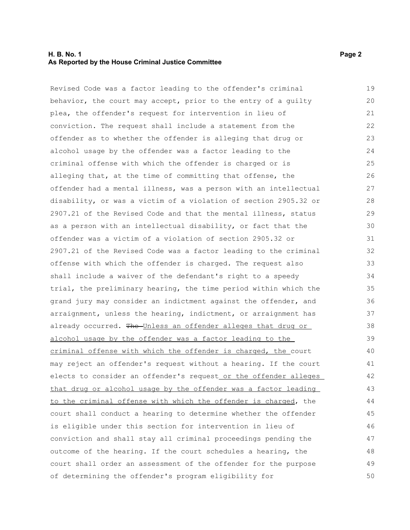#### **H. B. No. 1 Page 2 As Reported by the House Criminal Justice Committee**

Revised Code was a factor leading to the offender's criminal behavior, the court may accept, prior to the entry of a guilty plea, the offender's request for intervention in lieu of conviction. The request shall include a statement from the offender as to whether the offender is alleging that drug or alcohol usage by the offender was a factor leading to the criminal offense with which the offender is charged or is alleging that, at the time of committing that offense, the offender had a mental illness, was a person with an intellectual disability, or was a victim of a violation of section 2905.32 or 2907.21 of the Revised Code and that the mental illness, status as a person with an intellectual disability, or fact that the offender was a victim of a violation of section 2905.32 or 2907.21 of the Revised Code was a factor leading to the criminal offense with which the offender is charged. The request also shall include a waiver of the defendant's right to a speedy trial, the preliminary hearing, the time period within which the grand jury may consider an indictment against the offender, and arraignment, unless the hearing, indictment, or arraignment has already occurred. The Unless an offender alleges that drug or alcohol usage by the offender was a factor leading to the criminal offense with which the offender is charged, the court may reject an offender's request without a hearing. If the court elects to consider an offender's request or the offender alleges that drug or alcohol usage by the offender was a factor leading to the criminal offense with which the offender is charged, the court shall conduct a hearing to determine whether the offender is eligible under this section for intervention in lieu of conviction and shall stay all criminal proceedings pending the outcome of the hearing. If the court schedules a hearing, the court shall order an assessment of the offender for the purpose of determining the offender's program eligibility for 19 20 21 22 23 24 25 26 27 28 29 30 31 32 33 34 35 36 37 38 39 40 41 42 43 44 45 46 47 48 49 50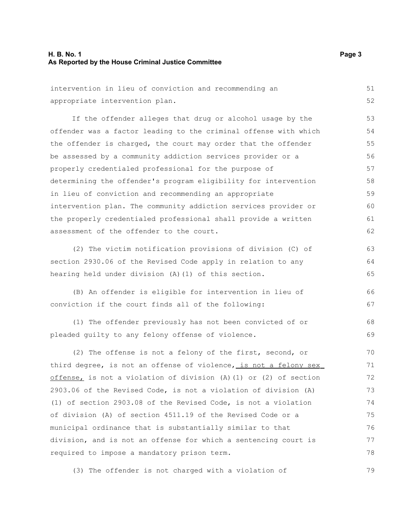## **H. B. No. 1 Page 3 As Reported by the House Criminal Justice Committee**

| intervention in lieu of conviction and recommending an                  | 51 |
|-------------------------------------------------------------------------|----|
| appropriate intervention plan.                                          | 52 |
| If the offender alleges that drug or alcohol usage by the               | 53 |
| offender was a factor leading to the criminal offense with which        | 54 |
| the offender is charged, the court may order that the offender          | 55 |
| be assessed by a community addiction services provider or a             | 56 |
| properly credentialed professional for the purpose of                   | 57 |
| determining the offender's program eligibility for intervention         | 58 |
| in lieu of conviction and recommending an appropriate                   | 59 |
| intervention plan. The community addiction services provider or         | 60 |
| the properly credentialed professional shall provide a written          | 61 |
| assessment of the offender to the court.                                | 62 |
| (2) The victim notification provisions of division (C) of               | 63 |
| section 2930.06 of the Revised Code apply in relation to any            | 64 |
| hearing held under division (A) (1) of this section.                    | 65 |
| (B) An offender is eligible for intervention in lieu of                 | 66 |
| conviction if the court finds all of the following:                     | 67 |
| (1) The offender previously has not been convicted of or                | 68 |
| pleaded guilty to any felony offense of violence.                       | 69 |
| (2) The offense is not a felony of the first, second, or                | 70 |
| third degree, is not an offense of violence, is not a felony sex        | 71 |
| offense, is not a violation of division $(A)$ $(1)$ or $(2)$ of section | 72 |
| 2903.06 of the Revised Code, is not a violation of division (A)         | 73 |
| (1) of section 2903.08 of the Revised Code, is not a violation          | 74 |
| of division (A) of section 4511.19 of the Revised Code or a             | 75 |
| municipal ordinance that is substantially similar to that               | 76 |
| division, and is not an offense for which a sentencing court is         | 77 |
| required to impose a mandatory prison term.                             | 78 |
| (3) The offender is not charged with a violation of                     | 79 |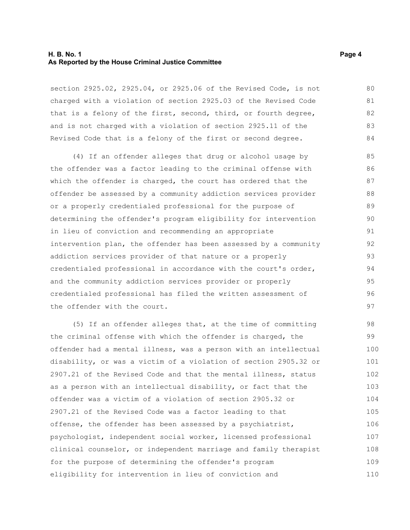#### **H. B. No. 1 Page 4 As Reported by the House Criminal Justice Committee**

section 2925.02, 2925.04, or 2925.06 of the Revised Code, is not charged with a violation of section 2925.03 of the Revised Code that is a felony of the first, second, third, or fourth degree, and is not charged with a violation of section 2925.11 of the Revised Code that is a felony of the first or second degree. 80 81 82 83 84

(4) If an offender alleges that drug or alcohol usage by the offender was a factor leading to the criminal offense with which the offender is charged, the court has ordered that the offender be assessed by a community addiction services provider or a properly credentialed professional for the purpose of determining the offender's program eligibility for intervention in lieu of conviction and recommending an appropriate intervention plan, the offender has been assessed by a community addiction services provider of that nature or a properly credentialed professional in accordance with the court's order, and the community addiction services provider or properly credentialed professional has filed the written assessment of the offender with the court. 85 86 87 88 89 90 91 92 93 94 95 96 97

(5) If an offender alleges that, at the time of committing the criminal offense with which the offender is charged, the offender had a mental illness, was a person with an intellectual disability, or was a victim of a violation of section 2905.32 or 2907.21 of the Revised Code and that the mental illness, status as a person with an intellectual disability, or fact that the offender was a victim of a violation of section 2905.32 or 2907.21 of the Revised Code was a factor leading to that offense, the offender has been assessed by a psychiatrist, psychologist, independent social worker, licensed professional clinical counselor, or independent marriage and family therapist for the purpose of determining the offender's program eligibility for intervention in lieu of conviction and 98 99 100 101 102 103 104 105 106 107 108 109 110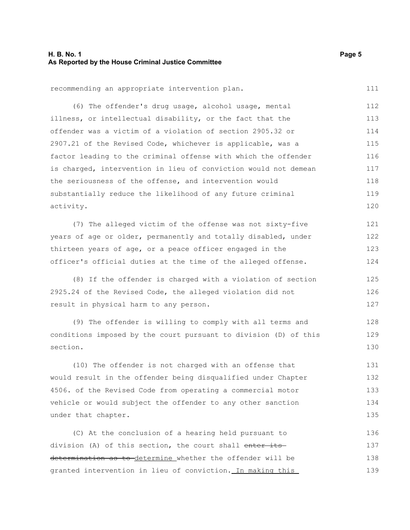#### **H. B. No. 1 Page 5 As Reported by the House Criminal Justice Committee**

# recommending an appropriate intervention plan. (6) The offender's drug usage, alcohol usage, mental illness, or intellectual disability, or the fact that the offender was a victim of a violation of section 2905.32 or 2907.21 of the Revised Code, whichever is applicable, was a factor leading to the criminal offense with which the offender is charged, intervention in lieu of conviction would not demean the seriousness of the offense, and intervention would

substantially reduce the likelihood of any future criminal activity. 119 120

(7) The alleged victim of the offense was not sixty-five years of age or older, permanently and totally disabled, under thirteen years of age, or a peace officer engaged in the officer's official duties at the time of the alleged offense. 121 122 123 124

(8) If the offender is charged with a violation of section 2925.24 of the Revised Code, the alleged violation did not result in physical harm to any person.

(9) The offender is willing to comply with all terms and conditions imposed by the court pursuant to division (D) of this section.

(10) The offender is not charged with an offense that would result in the offender being disqualified under Chapter 4506. of the Revised Code from operating a commercial motor vehicle or would subject the offender to any other sanction under that chapter. 131 132 133 134 135

(C) At the conclusion of a hearing held pursuant to division (A) of this section, the court shall enter its determination as to-determine whether the offender will be granted intervention in lieu of conviction. In making this 136 137 138 139

111

125 126 127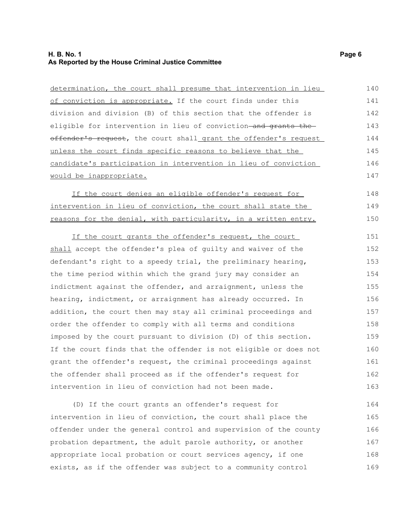## **H. B. No. 1 Page 6 As Reported by the House Criminal Justice Committee**

| determination, the court shall presume that intervention in lieu | 140 |
|------------------------------------------------------------------|-----|
| of conviction is appropriate. If the court finds under this      | 141 |
| division and division (B) of this section that the offender is   | 142 |
| eligible for intervention in lieu of conviction and grants the   | 143 |
| offender's request, the court shall_grant the offender's request | 144 |
| unless the court finds specific reasons to believe that the      | 145 |
| candidate's participation in intervention in lieu of conviction  | 146 |
| would be inappropriate.                                          | 147 |
| If the court denies an eligible offender's request for           | 148 |
| intervention in lieu of conviction, the court shall state the    | 149 |
| reasons for the denial, with particularity, in a written entry.  | 150 |
| If the court grants the offender's request, the court            | 151 |
| shall accept the offender's plea of guilty and waiver of the     | 152 |
| defendant's right to a speedy trial, the preliminary hearing,    | 153 |
| the time period within which the grand jury may consider an      | 154 |
| indictment against the offender, and arraignment, unless the     | 155 |
| hearing, indictment, or arraignment has already occurred. In     | 156 |
| addition, the court then may stay all criminal proceedings and   | 157 |
| order the offender to comply with all terms and conditions       | 158 |
| imposed by the court pursuant to division (D) of this section.   | 159 |
| If the court finds that the offender is not eligible or does not | 160 |
| grant the offender's request, the criminal proceedings against   | 161 |
| the offender shall proceed as if the offender's request for      | 162 |
| intervention in lieu of conviction had not been made.            | 163 |
| (D) If the court grants an offender's request for                | 164 |
| intervention in lieu of conviction, the court shall place the    | 165 |
| offender under the general control and supervision of the county | 166 |
| probation department, the adult parole authority, or another     | 167 |
| appropriate local probation or court services agency, if one     | 168 |

exists, as if the offender was subject to a community control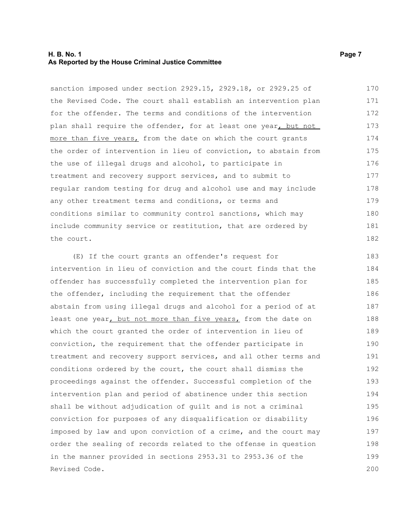#### **H. B. No. 1 Page 7 As Reported by the House Criminal Justice Committee**

sanction imposed under section 2929.15, 2929.18, or 2929.25 of the Revised Code. The court shall establish an intervention plan for the offender. The terms and conditions of the intervention plan shall require the offender, for at least one year, but not more than five years, from the date on which the court grants the order of intervention in lieu of conviction, to abstain from the use of illegal drugs and alcohol, to participate in treatment and recovery support services, and to submit to regular random testing for drug and alcohol use and may include any other treatment terms and conditions, or terms and conditions similar to community control sanctions, which may include community service or restitution, that are ordered by the court. 170 171 172 173 174 175 176 177 178 179 180 181 182

(E) If the court grants an offender's request for intervention in lieu of conviction and the court finds that the offender has successfully completed the intervention plan for the offender, including the requirement that the offender abstain from using illegal drugs and alcohol for a period of at least one year, but not more than five years, from the date on which the court granted the order of intervention in lieu of conviction, the requirement that the offender participate in treatment and recovery support services, and all other terms and conditions ordered by the court, the court shall dismiss the proceedings against the offender. Successful completion of the intervention plan and period of abstinence under this section shall be without adjudication of guilt and is not a criminal conviction for purposes of any disqualification or disability imposed by law and upon conviction of a crime, and the court may order the sealing of records related to the offense in question in the manner provided in sections 2953.31 to 2953.36 of the Revised Code. 183 184 185 186 187 188 189 190 191 192 193 194 195 196 197 198 199 200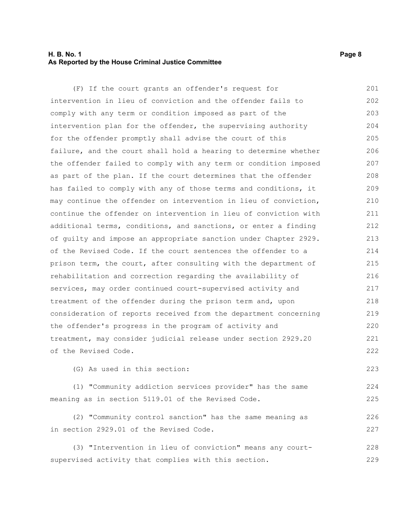#### **H. B. No. 1 Page 8 As Reported by the House Criminal Justice Committee**

(F) If the court grants an offender's request for intervention in lieu of conviction and the offender fails to comply with any term or condition imposed as part of the intervention plan for the offender, the supervising authority for the offender promptly shall advise the court of this failure, and the court shall hold a hearing to determine whether the offender failed to comply with any term or condition imposed as part of the plan. If the court determines that the offender has failed to comply with any of those terms and conditions, it may continue the offender on intervention in lieu of conviction, continue the offender on intervention in lieu of conviction with additional terms, conditions, and sanctions, or enter a finding of guilty and impose an appropriate sanction under Chapter 2929. of the Revised Code. If the court sentences the offender to a prison term, the court, after consulting with the department of rehabilitation and correction regarding the availability of services, may order continued court-supervised activity and treatment of the offender during the prison term and, upon consideration of reports received from the department concerning the offender's progress in the program of activity and treatment, may consider judicial release under section 2929.20 of the Revised Code. 201 202 203 204 205 206 207 208 209 210 211 212 213 214 215 216 217 218 219 220 221 222

(G) As used in this section:

(1) "Community addiction services provider" has the same meaning as in section 5119.01 of the Revised Code. 224 225

(2) "Community control sanction" has the same meaning as in section 2929.01 of the Revised Code. 226 227

(3) "Intervention in lieu of conviction" means any courtsupervised activity that complies with this section. 228 229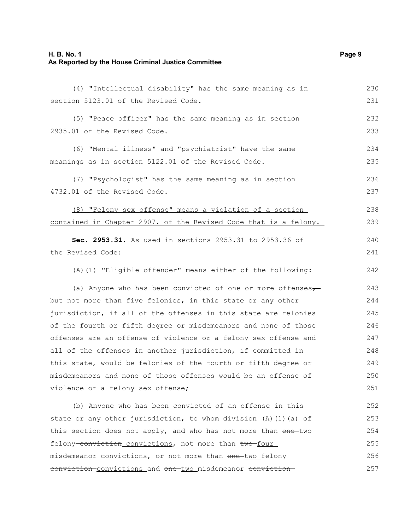## **H. B. No. 1 Page 9 As Reported by the House Criminal Justice Committee**

| section 5123.01 of the Revised Code.                               | 231 |
|--------------------------------------------------------------------|-----|
| (5) "Peace officer" has the same meaning as in section             | 232 |
| 2935.01 of the Revised Code.                                       | 233 |
| (6) "Mental illness" and "psychiatrist" have the same              | 234 |
| meanings as in section 5122.01 of the Revised Code.                | 235 |
| (7) "Psychologist" has the same meaning as in section              | 236 |
| 4732.01 of the Revised Code.                                       | 237 |
| (8) "Felony sex offense" means a violation of a section            | 238 |
| contained in Chapter 2907. of the Revised Code that is a felony.   | 239 |
| Sec. 2953.31. As used in sections 2953.31 to 2953.36 of            | 240 |
| the Revised Code:                                                  | 241 |
| (A) (1) "Eligible offender" means either of the following:         | 242 |
| (a) Anyone who has been convicted of one or more offenses $\tau$   | 243 |
| but not more than five felonies, in this state or any other        | 244 |
| jurisdiction, if all of the offenses in this state are felonies    | 245 |
| of the fourth or fifth degree or misdemeanors and none of those    | 246 |
| offenses are an offense of violence or a felony sex offense and    | 247 |
| all of the offenses in another jurisdiction, if committed in       | 248 |
| this state, would be felonies of the fourth or fifth degree or     | 249 |
| misdemeanors and none of those offenses would be an offense of     | 250 |
| violence or a felony sex offense;                                  | 251 |
| (b) Anyone who has been convicted of an offense in this            | 252 |
| state or any other jurisdiction, to whom division (A) (1) (a) of   | 253 |
| this section does not apply, and who has not more than one-two     | 254 |
| felony <del>-conviction</del> _convictions, not more than two-four | 255 |
| misdemeanor convictions, or not more than one-two felony           | 256 |
| eonviction convictions and one two misdemeanor conviction          | 257 |

(4) "Intellectual disability" has the same meaning as in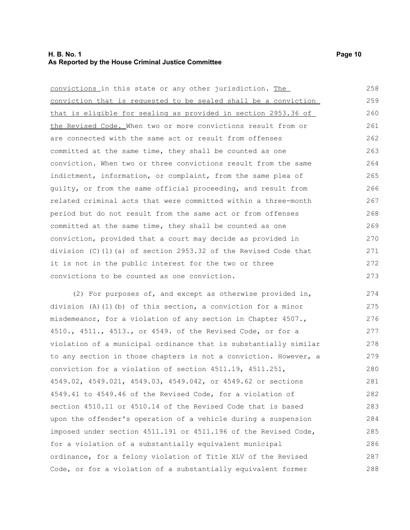#### **H. B. No. 1 Page 10 As Reported by the House Criminal Justice Committee**

convictions in this state or any other jurisdiction. The conviction that is requested to be sealed shall be a conviction that is eligible for sealing as provided in section 2953.36 of the Revised Code. When two or more convictions result from or are connected with the same act or result from offenses committed at the same time, they shall be counted as one conviction. When two or three convictions result from the same indictment, information, or complaint, from the same plea of guilty, or from the same official proceeding, and result from related criminal acts that were committed within a three-month period but do not result from the same act or from offenses committed at the same time, they shall be counted as one conviction, provided that a court may decide as provided in division (C)(1)(a) of section 2953.32 of the Revised Code that it is not in the public interest for the two or three convictions to be counted as one conviction. 258 259 260 261 262 263 264 265 266 267 268 269 270 271 272 273

(2) For purposes of, and except as otherwise provided in, division (A)(1)(b) of this section, a conviction for a minor misdemeanor, for a violation of any section in Chapter 4507., 4510., 4511., 4513., or 4549. of the Revised Code, or for a violation of a municipal ordinance that is substantially similar to any section in those chapters is not a conviction. However, a conviction for a violation of section 4511.19, 4511.251, 4549.02, 4549.021, 4549.03, 4549.042, or 4549.62 or sections 4549.41 to 4549.46 of the Revised Code, for a violation of section 4510.11 or 4510.14 of the Revised Code that is based upon the offender's operation of a vehicle during a suspension imposed under section 4511.191 or 4511.196 of the Revised Code, for a violation of a substantially equivalent municipal ordinance, for a felony violation of Title XLV of the Revised Code, or for a violation of a substantially equivalent former 274 275 276 277 278 279 280 281 282 283 284 285 286 287 288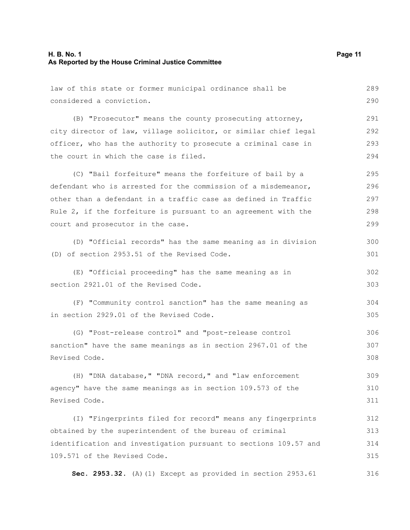#### **H. B. No. 1 Page 11 As Reported by the House Criminal Justice Committee**

| law of this state or former municipal ordinance shall be        | 289 |
|-----------------------------------------------------------------|-----|
| considered a conviction.                                        | 290 |
|                                                                 |     |
| (B) "Prosecutor" means the county prosecuting attorney,         | 291 |
| city director of law, village solicitor, or similar chief legal | 292 |
| officer, who has the authority to prosecute a criminal case in  | 293 |
| the court in which the case is filed.                           | 294 |
| (C) "Bail forfeiture" means the forfeiture of bail by a         | 295 |
| defendant who is arrested for the commission of a misdemeanor,  | 296 |
| other than a defendant in a traffic case as defined in Traffic  | 297 |
| Rule 2, if the forfeiture is pursuant to an agreement with the  | 298 |
| court and prosecutor in the case.                               | 299 |
| (D) "Official records" has the same meaning as in division      | 300 |
| (D) of section 2953.51 of the Revised Code.                     | 301 |
| (E) "Official proceeding" has the same meaning as in            | 302 |
| section 2921.01 of the Revised Code.                            | 303 |
| (F) "Community control sanction" has the same meaning as        | 304 |
|                                                                 | 305 |
| in section 2929.01 of the Revised Code.                         |     |
|                                                                 |     |

(G) "Post-release control" and "post-release control sanction" have the same meanings as in section 2967.01 of the Revised Code. 306 307 308

(H) "DNA database," "DNA record," and "law enforcement agency" have the same meanings as in section 109.573 of the Revised Code. 309 310 311

(I) "Fingerprints filed for record" means any fingerprints obtained by the superintendent of the bureau of criminal identification and investigation pursuant to sections 109.57 and 109.571 of the Revised Code. 312 313 314 315

**Sec. 2953.32.** (A)(1) Except as provided in section 2953.61 316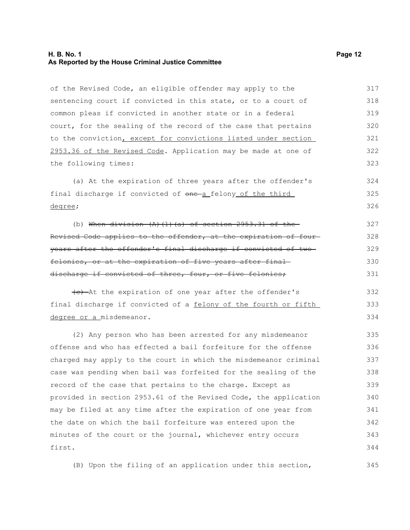#### **H. B. No. 1 Page 12 As Reported by the House Criminal Justice Committee**

of the Revised Code, an eligible offender may apply to the sentencing court if convicted in this state, or to a court of common pleas if convicted in another state or in a federal court, for the sealing of the record of the case that pertains to the conviction, except for convictions listed under section 2953.36 of the Revised Code. Application may be made at one of the following times: 317 318 319 320 321 322 323

(a) At the expiration of three years after the offender's final discharge if convicted of one a felony of the third degree; 324 325 326

(b) When division  $(A)$   $(1)$   $(a)$  of section 2953.31 of the Revised Code applies to the offender, at the expiration of fouryears after the offender's final discharge if convicted of two felonies, or at the expiration of five years after final discharge if convicted of three, four, or five felonies; 327 328 329 330 331

(c) At the expiration of one year after the offender's final discharge if convicted of a felony of the fourth or fifth degree or a misdemeanor.

(2) Any person who has been arrested for any misdemeanor offense and who has effected a bail forfeiture for the offense charged may apply to the court in which the misdemeanor criminal case was pending when bail was forfeited for the sealing of the record of the case that pertains to the charge. Except as provided in section 2953.61 of the Revised Code, the application may be filed at any time after the expiration of one year from the date on which the bail forfeiture was entered upon the minutes of the court or the journal, whichever entry occurs first. 335 336 337 338 339 340 341 342 343 344

(B) Upon the filing of an application under this section,

332 333 334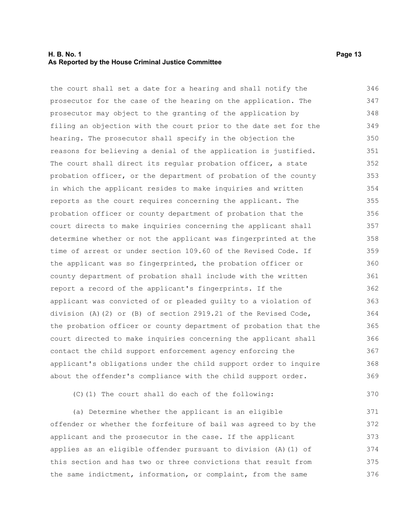#### **H. B. No. 1 Page 13 As Reported by the House Criminal Justice Committee**

the court shall set a date for a hearing and shall notify the prosecutor for the case of the hearing on the application. The prosecutor may object to the granting of the application by filing an objection with the court prior to the date set for the hearing. The prosecutor shall specify in the objection the reasons for believing a denial of the application is justified. The court shall direct its regular probation officer, a state probation officer, or the department of probation of the county in which the applicant resides to make inquiries and written reports as the court requires concerning the applicant. The probation officer or county department of probation that the court directs to make inquiries concerning the applicant shall determine whether or not the applicant was fingerprinted at the time of arrest or under section 109.60 of the Revised Code. If the applicant was so fingerprinted, the probation officer or county department of probation shall include with the written report a record of the applicant's fingerprints. If the applicant was convicted of or pleaded guilty to a violation of division (A)(2) or (B) of section 2919.21 of the Revised Code, the probation officer or county department of probation that the court directed to make inquiries concerning the applicant shall contact the child support enforcement agency enforcing the applicant's obligations under the child support order to inquire about the offender's compliance with the child support order. 346 347 348 349 350 351 352 353 354 355 356 357 358 359 360 361 362 363 364 365 366 367 368 369

(C)(1) The court shall do each of the following:

(a) Determine whether the applicant is an eligible offender or whether the forfeiture of bail was agreed to by the applicant and the prosecutor in the case. If the applicant applies as an eligible offender pursuant to division (A)(1) of this section and has two or three convictions that result from the same indictment, information, or complaint, from the same 371 372 373 374 375 376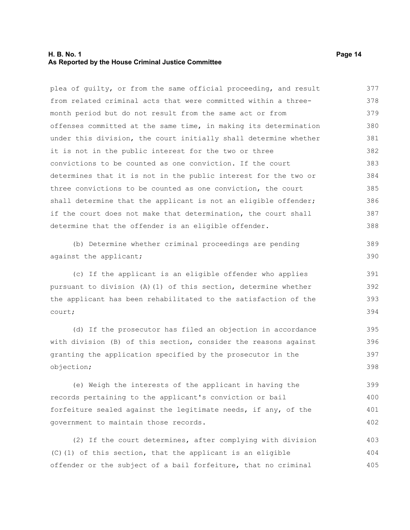#### **H. B. No. 1 Page 14 As Reported by the House Criminal Justice Committee**

plea of guilty, or from the same official proceeding, and result from related criminal acts that were committed within a threemonth period but do not result from the same act or from offenses committed at the same time, in making its determination under this division, the court initially shall determine whether it is not in the public interest for the two or three convictions to be counted as one conviction. If the court determines that it is not in the public interest for the two or three convictions to be counted as one conviction, the court shall determine that the applicant is not an eligible offender; if the court does not make that determination, the court shall determine that the offender is an eligible offender. (b) Determine whether criminal proceedings are pending against the applicant; (c) If the applicant is an eligible offender who applies pursuant to division (A)(1) of this section, determine whether 377 378 379 380 381 382 383 384 385 386 387 388 389 390 391 392

the applicant has been rehabilitated to the satisfaction of the court; 393 394

(d) If the prosecutor has filed an objection in accordance with division (B) of this section, consider the reasons against granting the application specified by the prosecutor in the objection; 395 396

(e) Weigh the interests of the applicant in having the records pertaining to the applicant's conviction or bail forfeiture sealed against the legitimate needs, if any, of the government to maintain those records. 399 400 401 402

(2) If the court determines, after complying with division (C)(1) of this section, that the applicant is an eligible offender or the subject of a bail forfeiture, that no criminal 403 404 405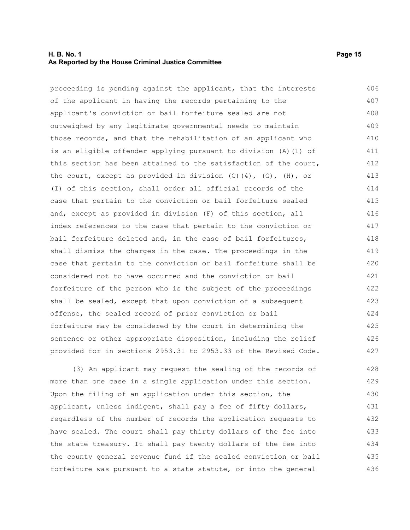#### **H. B. No. 1 Page 15 As Reported by the House Criminal Justice Committee**

proceeding is pending against the applicant, that the interests of the applicant in having the records pertaining to the applicant's conviction or bail forfeiture sealed are not outweighed by any legitimate governmental needs to maintain those records, and that the rehabilitation of an applicant who is an eligible offender applying pursuant to division (A)(1) of this section has been attained to the satisfaction of the court, the court, except as provided in division (C)(4), (G), (H), or (I) of this section, shall order all official records of the case that pertain to the conviction or bail forfeiture sealed and, except as provided in division (F) of this section, all index references to the case that pertain to the conviction or bail forfeiture deleted and, in the case of bail forfeitures, shall dismiss the charges in the case. The proceedings in the case that pertain to the conviction or bail forfeiture shall be considered not to have occurred and the conviction or bail forfeiture of the person who is the subject of the proceedings shall be sealed, except that upon conviction of a subsequent offense, the sealed record of prior conviction or bail forfeiture may be considered by the court in determining the sentence or other appropriate disposition, including the relief provided for in sections 2953.31 to 2953.33 of the Revised Code. (3) An applicant may request the sealing of the records of more than one case in a single application under this section. 406 407 408 409 410 411 412 413 414 415 416 417 418 419 420 421 422 423 424 425 426 427 428 429

Upon the filing of an application under this section, the applicant, unless indigent, shall pay a fee of fifty dollars, regardless of the number of records the application requests to have sealed. The court shall pay thirty dollars of the fee into the state treasury. It shall pay twenty dollars of the fee into the county general revenue fund if the sealed conviction or bail forfeiture was pursuant to a state statute, or into the general 430 431 432 433 434 435 436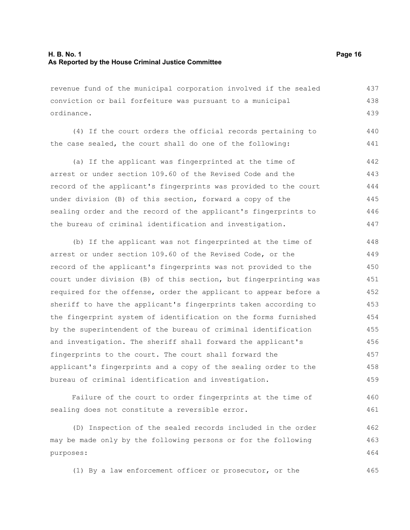revenue fund of the municipal corporation involved if the sealed conviction or bail forfeiture was pursuant to a municipal ordinance. 437 438 439

(4) If the court orders the official records pertaining to the case sealed, the court shall do one of the following: 440 441

(a) If the applicant was fingerprinted at the time of arrest or under section 109.60 of the Revised Code and the record of the applicant's fingerprints was provided to the court under division (B) of this section, forward a copy of the sealing order and the record of the applicant's fingerprints to the bureau of criminal identification and investigation. 442 443 444 445 446 447

(b) If the applicant was not fingerprinted at the time of arrest or under section 109.60 of the Revised Code, or the record of the applicant's fingerprints was not provided to the court under division (B) of this section, but fingerprinting was required for the offense, order the applicant to appear before a sheriff to have the applicant's fingerprints taken according to the fingerprint system of identification on the forms furnished by the superintendent of the bureau of criminal identification and investigation. The sheriff shall forward the applicant's fingerprints to the court. The court shall forward the applicant's fingerprints and a copy of the sealing order to the bureau of criminal identification and investigation. 448 449 450 451 452 453 454 455 456 457 458 459

Failure of the court to order fingerprints at the time of sealing does not constitute a reversible error. 460 461

(D) Inspection of the sealed records included in the order may be made only by the following persons or for the following purposes: 462 463 464

(1) By a law enforcement officer or prosecutor, or the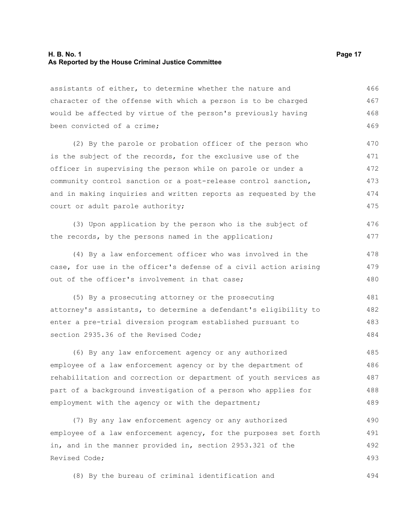#### **H. B. No. 1 Page 17 As Reported by the House Criminal Justice Committee**

assistants of either, to determine whether the nature and character of the offense with which a person is to be charged would be affected by virtue of the person's previously having been convicted of a crime; 466 467 468 469

(2) By the parole or probation officer of the person who is the subject of the records, for the exclusive use of the officer in supervising the person while on parole or under a community control sanction or a post-release control sanction, and in making inquiries and written reports as requested by the court or adult parole authority; 470 471 472 473 474 475

(3) Upon application by the person who is the subject of the records, by the persons named in the application; 476 477

(4) By a law enforcement officer who was involved in the case, for use in the officer's defense of a civil action arising out of the officer's involvement in that case; 478 479 480

(5) By a prosecuting attorney or the prosecuting attorney's assistants, to determine a defendant's eligibility to enter a pre-trial diversion program established pursuant to section 2935.36 of the Revised Code; 481 482 483 484

(6) By any law enforcement agency or any authorized employee of a law enforcement agency or by the department of rehabilitation and correction or department of youth services as part of a background investigation of a person who applies for employment with the agency or with the department; 485 486 487 488 489

(7) By any law enforcement agency or any authorized employee of a law enforcement agency, for the purposes set forth in, and in the manner provided in, section 2953.321 of the Revised Code; 490 491 492 493

(8) By the bureau of criminal identification and 494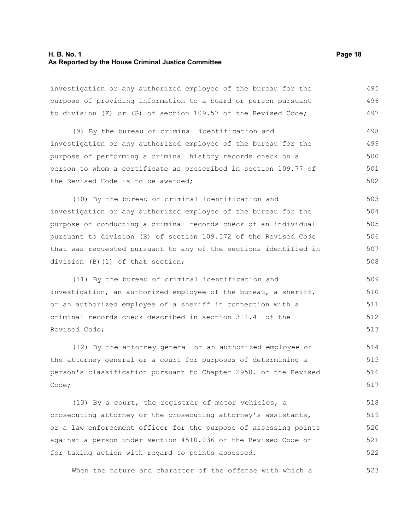#### **H. B. No. 1 Page 18 As Reported by the House Criminal Justice Committee**

investigation or any authorized employee of the bureau for the purpose of providing information to a board or person pursuant to division (F) or (G) of section 109.57 of the Revised Code; 495 496 497

(9) By the bureau of criminal identification and investigation or any authorized employee of the bureau for the purpose of performing a criminal history records check on a person to whom a certificate as prescribed in section 109.77 of the Revised Code is to be awarded; 498 499 500 501 502

(10) By the bureau of criminal identification and investigation or any authorized employee of the bureau for the purpose of conducting a criminal records check of an individual pursuant to division (B) of section 109.572 of the Revised Code that was requested pursuant to any of the sections identified in division (B)(1) of that section; 503 504 505 506 507 508

(11) By the bureau of criminal identification and investigation, an authorized employee of the bureau, a sheriff, or an authorized employee of a sheriff in connection with a criminal records check described in section 311.41 of the Revised Code; 509 510 511 512 513

(12) By the attorney general or an authorized employee of the attorney general or a court for purposes of determining a person's classification pursuant to Chapter 2950. of the Revised Code; 514 515 516 517

(13) By a court, the registrar of motor vehicles, a prosecuting attorney or the prosecuting attorney's assistants, or a law enforcement officer for the purpose of assessing points against a person under section 4510.036 of the Revised Code or for taking action with regard to points assessed. 518 519 520 521 522

When the nature and character of the offense with which a 523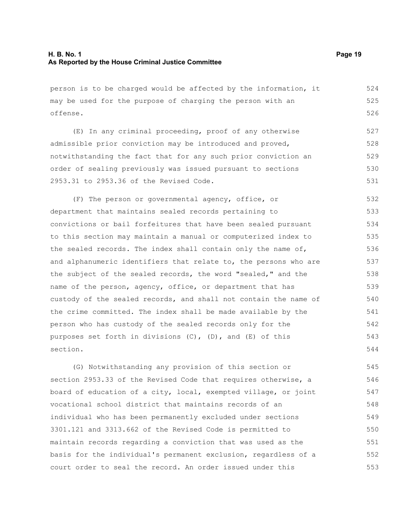person is to be charged would be affected by the information, it may be used for the purpose of charging the person with an offense. 524 525 526

(E) In any criminal proceeding, proof of any otherwise admissible prior conviction may be introduced and proved, notwithstanding the fact that for any such prior conviction an order of sealing previously was issued pursuant to sections 2953.31 to 2953.36 of the Revised Code. 527 528 529 530 531

(F) The person or governmental agency, office, or department that maintains sealed records pertaining to convictions or bail forfeitures that have been sealed pursuant to this section may maintain a manual or computerized index to the sealed records. The index shall contain only the name of, and alphanumeric identifiers that relate to, the persons who are the subject of the sealed records, the word "sealed," and the name of the person, agency, office, or department that has custody of the sealed records, and shall not contain the name of the crime committed. The index shall be made available by the person who has custody of the sealed records only for the purposes set forth in divisions (C), (D), and (E) of this section. 532 533 534 535 536 537 538 539 540 541 542 543 544

(G) Notwithstanding any provision of this section or section 2953.33 of the Revised Code that requires otherwise, a board of education of a city, local, exempted village, or joint vocational school district that maintains records of an individual who has been permanently excluded under sections 3301.121 and 3313.662 of the Revised Code is permitted to maintain records regarding a conviction that was used as the basis for the individual's permanent exclusion, regardless of a court order to seal the record. An order issued under this 545 546 547 548 549 550 551 552 553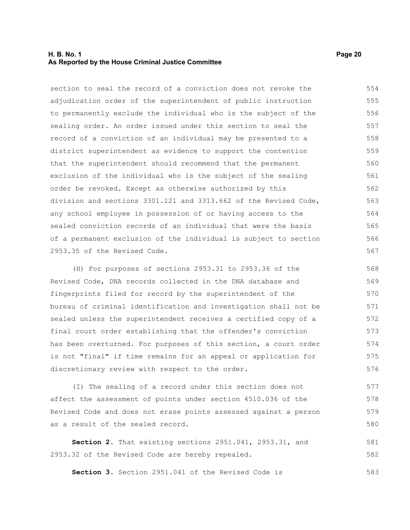#### **H. B. No. 1 Page 20 As Reported by the House Criminal Justice Committee**

section to seal the record of a conviction does not revoke the adjudication order of the superintendent of public instruction to permanently exclude the individual who is the subject of the sealing order. An order issued under this section to seal the record of a conviction of an individual may be presented to a district superintendent as evidence to support the contention that the superintendent should recommend that the permanent exclusion of the individual who is the subject of the sealing order be revoked. Except as otherwise authorized by this division and sections 3301.121 and 3313.662 of the Revised Code, any school employee in possession of or having access to the sealed conviction records of an individual that were the basis of a permanent exclusion of the individual is subject to section 2953.35 of the Revised Code. 554 555 556 557 558 559 560 561 562 563 564 565 566 567

(H) For purposes of sections 2953.31 to 2953.36 of the Revised Code, DNA records collected in the DNA database and fingerprints filed for record by the superintendent of the bureau of criminal identification and investigation shall not be sealed unless the superintendent receives a certified copy of a final court order establishing that the offender's conviction has been overturned. For purposes of this section, a court order is not "final" if time remains for an appeal or application for discretionary review with respect to the order. 568 569 570 571 572 573 574 575 576

(I) The sealing of a record under this section does not affect the assessment of points under section 4510.036 of the Revised Code and does not erase points assessed against a person as a result of the sealed record. 577 578 579 580

**Section 2.** That existing sections 2951.041, 2953.31, and 2953.32 of the Revised Code are hereby repealed. 581 582

**Section 3.** Section 2951.041 of the Revised Code is 583